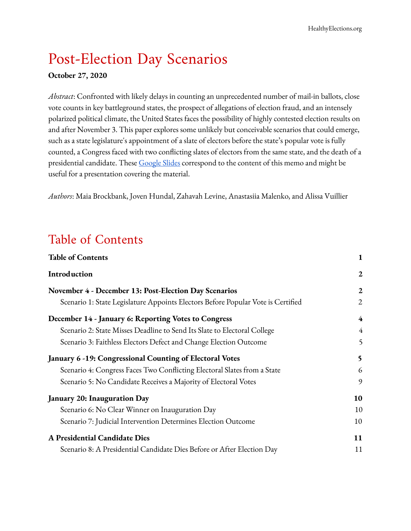# Post-Election Day Scenarios

#### **October 27, 2020**

*Abstract*: Confronted with likely delays in counting an unprecedented number of mail-in ballots, close vote counts in key battleground states, the prospect of allegations of election fraud, and an intensely polarized political climate, the United States faces the possibility of highly contested election results on and after November 3. This paper explores some unlikely but conceivable scenarios that could emerge, such as a state legislature's appointment of a slate of electors before the state's popular vote is fully counted, a Congress faced with two conflicting slates of electors from the same state, and the death of a presidential candidate. These [Google](https://docs.google.com/presentation/d/11hfUMTzIJoXJOnGu1uHsA9GaMeCvP-SnZpssU8fWK00/edit?usp=sharing) Slides correspond to the content of this memo and might be useful for a presentation covering the material.

<span id="page-0-0"></span>*Authors*: Maia Brockbank, Joven Hundal, Zahavah Levine, Anastasiia Malenko, and Alissa Vuillier

## Table of Contents

| <b>Table of Contents</b>                                                         | $\mathbf{1}$     |
|----------------------------------------------------------------------------------|------------------|
| Introduction                                                                     | $\boldsymbol{2}$ |
| November 4 - December 13: Post-Election Day Scenarios                            | $\overline{2}$   |
| Scenario 1: State Legislature Appoints Electors Before Popular Vote is Certified | 2                |
| December 14 - January 6: Reporting Votes to Congress                             | 4                |
| Scenario 2: State Misses Deadline to Send Its Slate to Electoral College         | $\overline{4}$   |
| Scenario 3: Faithless Electors Defect and Change Election Outcome                | 5                |
| January 6 -19: Congressional Counting of Electoral Votes                         | 5                |
| Scenario 4: Congress Faces Two Conflicting Electoral Slates from a State         | 6                |
| Scenario 5: No Candidate Receives a Majority of Electoral Votes                  | 9                |
| <b>January 20: Inauguration Day</b>                                              | 10               |
| Scenario 6: No Clear Winner on Inauguration Day                                  | 10               |
| Scenario 7: Judicial Intervention Determines Election Outcome                    | 10               |
| A Presidential Candidate Dies                                                    | 11               |
| Scenario 8: A Presidential Candidate Dies Before or After Election Day           | 11               |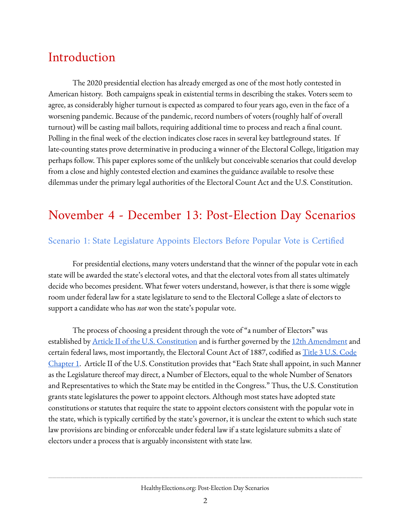# <span id="page-1-0"></span>Introduction

The 2020 presidential election has already emerged as one of the most hotly contested in American history. Both campaigns speak in existential terms in describing the stakes. Voters seem to agree, as considerably higher turnout is expected as compared to four years ago, even in the face of a worsening pandemic. Because of the pandemic, record numbers of voters (roughly half of overall turnout) will be casting mail ballots, requiring additional time to process and reach a final count. Polling in the final week of the election indicates close races in several key battleground states. If late-counting states prove determinative in producing a winner of the Electoral College, litigation may perhaps follow. This paper explores some of the unlikely but conceivable scenarios that could develop from a close and highly contested election and examines the guidance available to resolve these dilemmas under the primary legal authorities of the Electoral Count Act and the U.S. Constitution.

## <span id="page-1-1"></span>November 4 - December 13: Post-Election Day Scenarios

### <span id="page-1-2"></span>Scenario 1: State Legislature Appoints Electors Before Popular Vote is Certified

For presidential elections, many voters understand that the winner of the popular vote in each state will be awarded the state's electoral votes, and that the electoral votes from all states ultimately decide who becomes president. What fewer voters understand, however, is that there is some wiggle room under federal law for a state legislature to send to the Electoral College a slate of electors to support a candidate who has *not* won the state's popular vote.

The process of choosing a president through the vote of "a number of Electors" was established by <u>Article II of the U.S. [Constitution](https://www.archives.gov/founding-docs/constitution-transcript#toc-article-ii-)</u> and is further governed by the 12th [Amendment](https://www.archives.gov/electoral-college/provisions#A12) and certain federal laws, most importantly, the Electoral Count Act of 1887, codified as  $\overline{\text{Title 3 U.S. Code}}$  $\overline{\text{Title 3 U.S. Code}}$  $\overline{\text{Title 3 U.S. Code}}$ [Chapter](https://www.govinfo.gov/content/pkg/USCODE-2011-title3/html/USCODE-2011-title3.htm) 1. Article II of the U.S. Constitution provides that "Each State shall appoint, in such Manner as the Legislature thereof may direct, a Number of Electors, equal to the whole Number of Senators and Representatives to which the State may be entitled in the Congress." Thus, the U.S. Constitution grants state legislatures the power to appoint electors. Although most states have adopted state constitutions or statutes that require the state to appoint electors consistent with the popular vote in the state, which is typically certified by the state's governor, it is unclear the extent to which such state law provisions are binding or enforceable under federal law if a state legislature submits a slate of electors under a process that is arguably inconsistent with state law.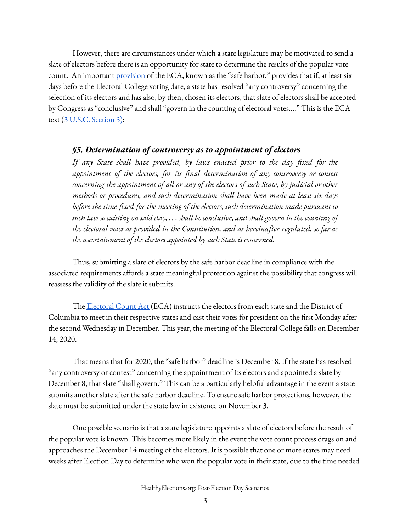However, there are circumstances under which a state legislature may be motivated to send a slate of electors before there is an opportunity for state to determine the results of the popular vote count. An important **[provision](https://www.govinfo.gov/content/pkg/USCODE-2011-title3/html/USCODE-2011-title3-chap1-sec5.htm)** of the ECA, known as the "safe harbor," provides that if, at least six days before the Electoral College voting date, a state has resolved "any controversy" concerning the selection of its electors and has also, by then, chosen its electors, that slate of electors shall be accepted by Congress as "conclusive" and shall "govern in the counting of electoral votes...." This is the ECA text (3 U.S.C. [Section](https://www.govinfo.gov/content/pkg/USCODE-2011-title3/html/USCODE-2011-title3.htm) 5):

### *§5. Determination of controversy as to appointment of electors*

*If any State shall have provided, by laws enacted prior to the day fixed for the appointment of the electors, for its final determination of any controversy or contest concerning the appointment of all or any of the electors of such State, by judicial or other methods or procedures, and such determination shall have been made at least six days before the time fixed for the meeting of the electors, such determination made pursuant to* such law so existing on said day,  $\dots$  shall be conclusive, and shall govern in the counting of *the electoral votes as provided in the Constitution, and as hereinafter regulated, so far as the ascertainment of the electors appointed by such State is concerned.*

Thus, submitting a slate of electors by the safe harbor deadline in compliance with the associated requirements affords a state meaningful protection against the possibility that congress will reassess the validity of the slate it submits.

The [Electoral](https://www.law.cornell.edu/uscode/text/3/7) Count Act (ECA) instructs the electors from each state and the District of Columbia to meet in their respective states and cast their votes for president on the first Monday after the second Wednesday in December. This year, the meeting of the Electoral College falls on December 14, 2020.

That means that for 2020, the "safe harbor" deadline is December 8. If the state has resolved "any controversy or contest" concerning the appointment of its electors and appointed a slate by December 8, that slate "shall govern." This can be a particularly helpful advantage in the event a state submits another slate after the safe harbor deadline. To ensure safe harbor protections, however, the slate must be submitted under the state law in existence on November 3.

One possible scenario is that a state legislature appoints a slate of electors before the result of the popular vote is known. This becomes more likely in the event the vote count process drags on and approaches the December 14 meeting of the electors. It is possible that one or more states may need weeks after Election Day to determine who won the popular vote in their state, due to the time needed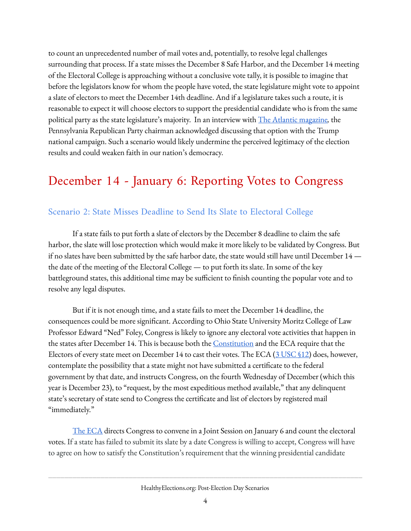to count an unprecedented number of mail votes and, potentially, to resolve legal challenges surrounding that process. If a state misses the December 8 Safe Harbor, and the December 14 meeting of the Electoral College is approaching without a conclusive vote tally, it is possible to imagine that before the legislators know for whom the people have voted, the state legislature might vote to appoint a slate of electors to meet the December 14th deadline. And if a legislature takes such a route, it is reasonable to expect it will choose electors to support the presidential candidate who is from the same political party as the state legislature's majority. In an interview with The Atlantic [magazine](https://www.theatlantic.com/magazine/archive/2020/11/what-if-trump-refuses-concede/616424/)*[,](https://www.theatlantic.com/magazine/archive/2020/11/what-if-trump-refuses-concede/616424/)* the Pennsylvania Republican Party chairman acknowledged discussing that option with the Trump national campaign. Such a scenario would likely undermine the perceived legitimacy of the election results and could weaken faith in our nation's democracy.

## <span id="page-3-0"></span>December 14 - January 6: Reporting Votes to Congress

### <span id="page-3-1"></span>Scenario 2: State Misses Deadline to Send Its Slate to Electoral College

If a state fails to put forth a slate of electors by the December 8 deadline to claim the safe harbor, the slate will lose protection which would make it more likely to be validated by Congress. But if no slates have been submitted by the safe harbor date, the state would still have until December 14 the date of the meeting of the Electoral College — to put forth its slate. In some of the key battleground states, this additional time may be sufficient to finish counting the popular vote and to resolve any legal disputes.

But if it is not enough time, and a state fails to meet the December 14 deadline, the consequences could be more significant. According to Ohio State University Moritz College of Law Professor Edward "Ned" Foley, Congress is likely to ignore any electoral vote activities that happen in the states after December 14. This is because both the [Constitution](https://www.law.cornell.edu/constitution/articleii) and the ECA require that the Electors of every state meet on December 14 to cast their votes. The ECA (3 [USC](https://uscode.house.gov/view.xhtml?req=granuleid:USC-prelim-title3-section12&num=0&edition=prelim) §12) does, however, contemplate the possibility that a state might not have submitted a certificate to the federal government by that date, and instructs Congress, on the fourth Wednesday of December (which this year is December 23), to "request, by the most expeditious method available," that any delinquent state's secretary of state send to Congress the certificate and list of electors by registered mail "immediately."

The [ECA](https://www.law.cornell.edu/uscode/text/3/15) directs Congress to convene in a Joint Session on January 6 and count the electoral votes. If a state has failed to submit its slate by a date Congress is willing to accept, Congress will have to agree on how to satisfy the Constitution's requirement that the winning presidential candidate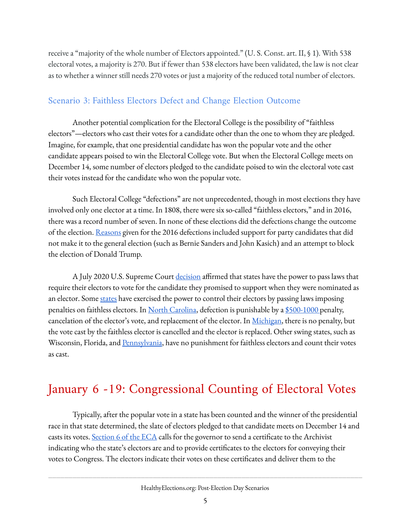receive a "majority of the whole number of Electors appointed." (U. S. Const. art. II, § 1). With 538 electoral votes, a majority is 270. But if fewer than 538 electors have been validated, the law is not clear as to whether a winner still needs 270 votes or just a majority of the reduced total number of electors.

### <span id="page-4-0"></span>Scenario 3: Faithless Electors Defect and Change Election Outcome

Another potential complication for the Electoral College is the possibility of "faithless electors"—electors who cast their votes for a candidate other than the one to whom they are pledged. Imagine, for example, that one presidential candidate has won the popular vote and the other candidate appears poised to win the Electoral College vote. But when the Electoral College meets on December 14, some number of electors pledged to the candidate poised to win the electoral vote cast their votes instead for the candidate who won the popular vote.

Such Electoral College "defections" are not unprecedented, though in most elections they have involved only one elector at a time. In 1808, there were six so-called "faithless electors," and in 2016, there was a record number of seven. In none of these elections did the defections change the outcome of the election. [Reasons](https://www.politico.com/story/2016/12/electoral-college-electors-232836) given for the 2016 defections included support for party candidates that did not make it to the general election (such as Bernie Sanders and John Kasich) and an attempt to block the election of Donald Trump.

A July 2020 U.S. Supreme Court [decision](https://www.supremecourt.gov/opinions/19pdf/19-465_i425.pdf) affirmed that states have the power to pass laws that require their electors to vote for the candidate they promised to support when they were nominated as an elector. Some [states](https://www.fairvote.org/faithless_elector_state_laws) have exercised the power to control their electors by passing laws imposing penalties on faithless electors. In North [Carolina](https://law.justia.com/codes/north-carolina/2010/chapter163/article18/section163-212), defection is punishable by a [\\$500-1000](https://casetext.com/statute/oklahoma-statutes/title-26-elections/26-10-109-penalty) penalty, cancelation of the elector's vote, and replacement of the elector. In <u>[Michigan](https://www.legislature.mi.gov/(S(wngyymu5fnpwdzwbpjml11q4))/mileg.aspx?page=GetObject&objectname=mcl-168-47)</u>, there is no penalty, but the vote cast by the faithless elector is cancelled and the elector is replaced. Other swing states, such as Wisconsin, Florida, and [Pennsylvania,](https://www.post-gazette.com/opinion/editorials/2020/01/30/Faithless-electors-Votes-should-be-in-accord-with-state-laws/stories/202001250019) have no punishment for faithless electors and count their votes as cast.

# <span id="page-4-1"></span>January 6 -19: Congressional Counting of Electoral Votes

Typically, after the popular vote in a state has been counted and the winner of the presidential race in that state determined, the slate of electors pledged to that candidate meets on December 14 and casts its votes. [Section](https://www.law.cornell.edu/uscode/text/3/6) 6 of the ECA calls for the governor to send a certificate to the Archivist indicating who the state's electors are and to provide certificates to the electors for conveying their votes to Congress. The electors indicate their votes on these certificates and deliver them to the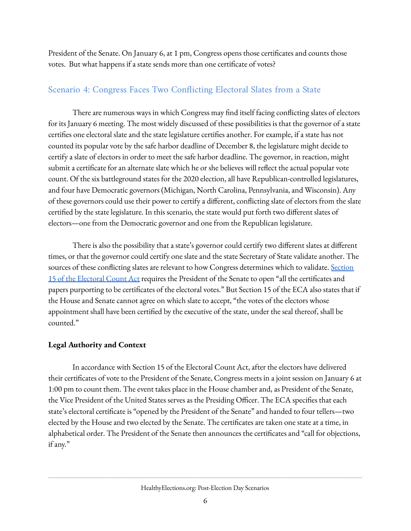President of the Senate. On January 6, at 1 pm, Congress opens those certificates and counts those votes. But what happens if a state sends more than one certificate of votes?

### <span id="page-5-0"></span>Scenario 4: Congress Faces Two Conflicting Electoral Slates from a State

There are numerous ways in which Congress may find itself facing conflicting slates of electors for its January 6 meeting. The most widely discussed of these possibilities is that the governor of a state certifies one electoral slate and the state legislature certifies another. For example, if a state has not counted its popular vote by the safe harbor deadline of December 8, the legislature might decide to certify a slate of electors in order to meet the safe harbor deadline. The governor, in reaction, might submit a certificate for an alternate slate which he or she believes will reflect the actual popular vote count. Of the six battleground states for the 2020 election, all have Republican-controlled legislatures, and four have Democratic governors (Michigan, North Carolina, Pennsylvania, and Wisconsin). Any of these governors could use their power to certify a different, conflicting slate of electors from the slate certified by the state legislature. In this scenario, the state would put forth two different slates of electors—one from the Democratic governor and one from the Republican legislature.

There is also the possibility that a state's governor could certify two different slates at different times, or that the governor could certify one slate and the state Secretary of State validate another. The sources of these conflicting slates are relevant to how Congress determines which to validate. [Section](https://www.law.cornell.edu/uscode/text/3/15) 15 of the [Electoral](https://www.law.cornell.edu/uscode/text/3/15) Count Act requires the President of the Senate to open "all the certificates and papers purporting to be certificates of the electoral votes." But Section 15 of the ECA also states that if the House and Senate cannot agree on which slate to accept, "the votes of the electors whose appointment shall have been certified by the executive of the state, under the seal thereof, shall be counted."

### **Legal Authority and Context**

In accordance with Section 15 of the Electoral Count Act, after the electors have delivered their certificates of vote to the President of the Senate, Congress meets in a joint session on January 6 at 1:00 pm to count them. The event takes place in the House chamber and, as President of the Senate, the Vice President of the United States serves as the Presiding Officer. The ECA specifies that each state's electoral certificate is "opened by the President of the Senate" and handed to four tellers—two elected by the House and two elected by the Senate. The certificates are taken one state at a time, in alphabetical order. The President of the Senate then announces the certificates and "call for objections, if any."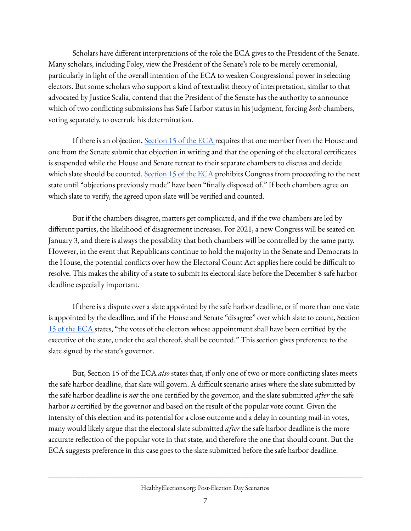Scholars have different interpretations of the role the ECA gives to the President of the Senate. Many scholars, including Foley, view the President of the Senate's role to be merely ceremonial, particularly in light of the overall intention of the ECA to weaken Congressional power in selecting electors. But some scholars who support a kind of textualist theory of interpretation, similar to that advocated by Justice Scalia, contend that the President of the Senate has the authority to announce which of two conflicting submissions has Safe Harbor status in his judgment, forcing *both* chambers, voting separately, to overrule his determination.

If there is an objection, [Section](https://www.law.cornell.edu/uscode/text/3/15) 15 of the ECA requires that one member from the House and one from the Senate submit that objection in writing and that the opening of the electoral certificates is suspended while the House and Senate retreat to their separate chambers to discuss and decide which slate should be counted. [Section](https://www.law.cornell.edu/uscode/text/3/15) 15 of the ECA prohibits Congress from proceeding to the next state until "objections previously made" have been "finally disposed of." If both chambers agree on which slate to verify, the agreed upon slate will be verified and counted.

But if the chambers disagree, matters get complicated, and if the two chambers are led by different parties, the likelihood of disagreement increases. For 2021, a new Congress will be seated on January 3, and there is always the possibility that both chambers will be controlled by the same party. However, in the event that Republicans continue to hold the majority in the Senate and Democrats in the House, the potential conflicts over how the Electoral Count Act applies here could be difficult to resolve. This makes the ability of a state to submit its electoral slate before the December 8 safe harbor deadline especially important.

If there is a dispute over a slate appointed by the safe harbor deadline, or if more than one slate is appointed by the deadline, and if the House and Senate "disagree" over which slate to count, Section 15 of the [ECA](https://www.law.cornell.edu/uscode/text/3/15) states, "the votes of the electors whose appointment shall have been certified by the executive of the state, under the seal thereof, shall be counted." This section gives preference to the slate signed by the state's governor.

But, Section 15 of the ECA *also* states that, if only one of two or more conflicting slates meets the safe harbor deadline, that slate will govern. A difficult scenario arises where the slate submitted by the safe harbor deadline is *not* the one certified by the governor, and the slate submitted *after* the safe harbor *is* certified by the governor and based on the result of the popular vote count. Given the intensity of this election and its potential for a close outcome and a delay in counting mail-in votes, many would likely argue that the electoral slate submitted *after* the safe harbor deadline is the more accurate reflection of the popular vote in that state, and therefore the one that should count. But the ECA suggests preference in this case goes to the slate submitted before the safe harbor deadline.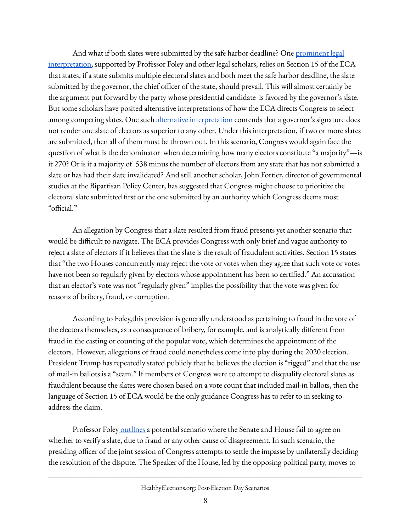And what if both slates were submitted by the safe harbor deadline? One [prominent](https://papers.ssrn.com/sol3/papers.cfm?abstract_id=3446021) legal [interpretation](https://papers.ssrn.com/sol3/papers.cfm?abstract_id=3446021), supported by Professor Foley and other legal scholars, relies on Section 15 of the ECA that states, if a state submits multiple electoral slates and both meet the safe harbor deadline, the slate submitted by the governor, the chief officer of the state, should prevail. This will almost certainly be the argument put forward by the party whose presidential candidate is favored by the governor's slate. But some scholars have posited alternative interpretations of how the ECA directs Congress to select among competing slates. One such alternative [interpretation](https://heinonline.org/HOL/LandingPage?handle=hein.journals/dlr65&div=36&id=&page=) contends that a governor's signature does not render one slate of electors as superior to any other. Under this interpretation, if two or more slates are submitted, then all of them must be thrown out. In this scenario, Congress would again face the question of what is the denominator when determining how many electors constitute "a majority"—is it 270? Or is it a majority of 538 minus the number of electors from any state that has not submitted a slate or has had their slate invalidated? And still another scholar, John Fortier, director of governmental studies at the Bipartisan Policy Center, has suggested that Congress might choose to prioritize the electoral slate submitted first or the one submitted by an authority which Congress deems most "official."

An allegation by Congress that a slate resulted from fraud presents yet another scenario that would be difficult to navigate. The ECA provides Congress with only brief and vague authority to reject a slate of electors if it believes that the slate is the result of fraudulent activities. Section 15 states that "the two Houses concurrently may reject the vote or votes when they agree that such vote or votes have not been so regularly given by electors whose appointment has been so certified." An accusation that an elector's vote was not "regularly given" implies the possibility that the vote was given for reasons of bribery, fraud, or corruption.

According to Foley,this provision is generally understood as pertaining to fraud in the vote of the electors themselves, as a consequence of bribery, for example, and is analytically different from fraud in the casting or counting of the popular vote, which determines the appointment of the electors. However, allegations of fraud could nonetheless come into play during the 2020 election. President Trump has repeatedly stated publicly that he believes the election is "rigged" and that the use of mail-in ballots is a "scam." If members of Congress were to attempt to disqualify electoral slates as fraudulent because the slates were chosen based on a vote count that included mail-in ballots, then the language of Section 15 of ECA would be the only guidance Congress has to refer to in seeking to address the claim.

Professor Foley [outlines](https://papers.ssrn.com/sol3/papers.cfm?abstract_id=3446021) a potential scenario where the Senate and House fail to agree on whether to verify a slate, due to fraud or any other cause of disagreement. In such scenario, the presiding officer of the joint session of Congress attempts to settle the impasse by unilaterally deciding the resolution of the dispute. The Speaker of the House, led by the opposing political party, moves to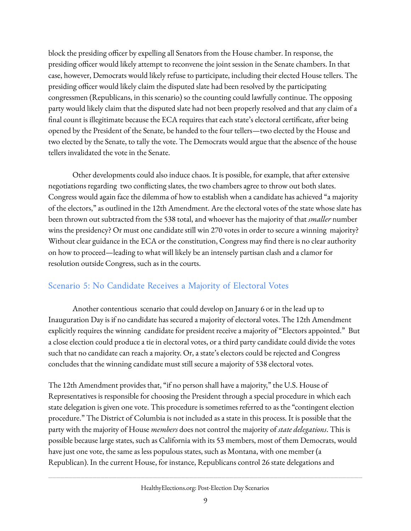block the presiding officer by expelling all Senators from the House chamber. In response, the presiding officer would likely attempt to reconvene the joint session in the Senate chambers. In that case, however, Democrats would likely refuse to participate, including their elected House tellers. The presiding officer would likely claim the disputed slate had been resolved by the participating congressmen (Republicans, in this scenario) so the counting could lawfully continue. The opposing party would likely claim that the disputed slate had not been properly resolved and that any claim of a final count is illegitimate because the ECA requires that each state's electoral certificate, after being opened by the President of the Senate, be handed to the four tellers—two elected by the House and two elected by the Senate, to tally the vote. The Democrats would argue that the absence of the house tellers invalidated the vote in the Senate.

Other developments could also induce chaos. It is possible, for example, that after extensive negotiations regarding two conflicting slates, the two chambers agree to throw out both slates. Congress would again face the dilemma of how to establish when a candidate has achieved "a majority of the electors," as outlined in the 12th Amendment. Are the electoral votes of the state whose slate has been thrown out subtracted from the 538 total, and whoever has the majority of that *smaller* number wins the presidency? Or must one candidate still win 270 votes in order to secure a winning majority? Without clear guidance in the ECA or the constitution, Congress may find there is no clear authority on how to proceed—leading to what will likely be an intensely partisan clash and a clamor for resolution outside Congress, such as in the courts.

### <span id="page-8-0"></span>Scenario 5: No Candidate Receives a Majority of Electoral Votes

Another contentious scenario that could develop on January 6 or in the lead up to Inauguration Day is if no candidate has secured a majority of electoral votes. The 12th Amendment explicitly requires the winning candidate for president receive a majority of "Electors appointed." But a close election could produce a tie in electoral votes, or a third party candidate could divide the votes such that no candidate can reach a majority. Or, a state's electors could be rejected and Congress concludes that the winning candidate must still secure a majority of 538 electoral votes.

The 12th Amendment provides that, "if no person shall have a majority," the U.S. House of Representatives is responsible for choosing the President through a special procedure in which each state delegation is given one vote. This procedure is sometimes referred to as the "contingent election procedure." The District of Columbia is not included as a state in this process. It is possible that the party with the majority of House *members* does not control the majority of *state delegations*. This is possible because large states, such as California with its 53 members, most of them Democrats, would have just one vote, the same as less populous states, such as Montana, with one member (a Republican). In the current House, for instance, Republicans control 26 state delegations and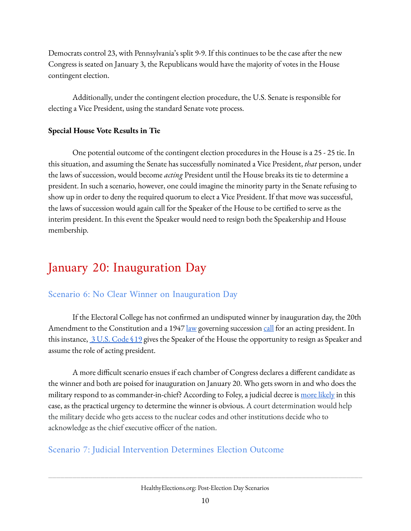Democrats control 23, with Pennsylvania's split 9-9. If this continues to be the case after the new Congress is seated on January 3, the Republicans would have the majority of votes in the House contingent election.

Additionally, under the contingent election procedure, the U.S. Senate is responsible for electing a Vice President, using the standard Senate vote process.

#### **Special House Vote Results in Tie**

One potential outcome of the contingent election procedures in the House is a 25 - 25 tie. In this situation, and assuming the Senate has successfully nominated a Vice President, *that* person, under the laws of succession, would become *acting* President until the House breaks its tie to determine a president. In such a scenario, however, one could imagine the minority party in the Senate refusing to show up in order to deny the required quorum to elect a Vice President. If that move was successful, the laws of succession would again call for the Speaker of the House to be certified to serve as the interim president. In this event the Speaker would need to resign both the Speakership and House membership.

# <span id="page-9-0"></span>January 20: Inauguration Day

## <span id="page-9-1"></span>Scenario 6: No Clear Winner on Inauguration Day

If the Electoral College has not confirmed an undisputed winner by inauguration day, the 20th Amendment to the Constitution and a 1947 <u>[law](https://www.loc.gov/law/help/statutes-at-large/80th-congress/session-1/c80s1ch264.pdf)</u> governing succession [call](https://cookpolitical.com/analysis/national/national-politics/six-scenarios-confusion-counting-2020-ballots-not-just-scary) for an acting president. In this instance,  $3 \text{ U.S. Code } $19 \text{ gives the Speaker of the House the opportunity to reign as Speaker and}$  $3 \text{ U.S. Code } $19 \text{ gives the Speaker of the House the opportunity to reign as Speaker and}$  $3 \text{ U.S. Code } $19 \text{ gives the Speaker of the House the opportunity to reign as Speaker and}$ assume the role of acting president.

A more difficult scenario ensues if each chamber of Congress declares a different candidate as the winner and both are poised for inauguration on January 20. Who gets sworn in and who does the military respond to as commander-in-chief? According to Foley, a judicial decree is more [likely](https://papers.ssrn.com/sol3/papers.cfm?abstract_id=3685392) in this case, as the practical urgency to determine the winner is obvious. A court determination would help the military decide who gets access to the nuclear codes and other institutions decide who to acknowledge as the chief executive officer of the nation.

## <span id="page-9-2"></span>Scenario 7: Judicial Intervention Determines Election Outcome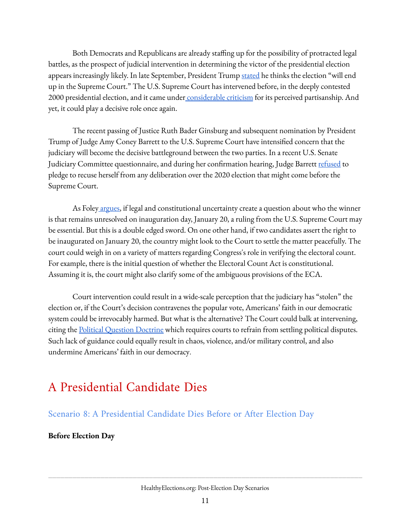Both Democrats and Republicans are already staffing up for the possibility of protracted legal battles, as the prospect of judicial intervention in determining the victor of the presidential election appears increasingly likely. In late September, President Trump [stated](https://www.npr.org/2020/09/23/916221894/trump-says-he-expect-election-results-to-end-up-at-supreme-court) he thinks the election "will end up in the Supreme Court." The U.S. Supreme Court has intervened before, in the deeply contested 2000 presidential election, and it came under [considerable](https://www.theatlantic.com/politics/archive/2010/11/just-how-bad-was-bush-v-gore/343247/) criticism for its perceived partisanship. And yet, it could play a decisive role once again.

The recent passing of Justice Ruth Bader Ginsburg and subsequent nomination by President Trump of Judge Amy Coney Barrett to the U.S. Supreme Court have intensified concern that the judiciary will become the decisive battleground between the two parties. In a recent U.S. Senate Judiciary Committee questionnaire, and during her confirmation hearing, Judge Barrett [refused](https://www.politico.com/news/2020/09/29/amy-coney-barrett-recuse-election-cases-423248) to pledge to recuse herself from any deliberation over the 2020 election that might come before the Supreme Court.

As Foley [argues](https://papers.ssrn.com/sol3/papers.cfm?abstract_id=3685392), if legal and constitutional uncertainty create a question about who the winner is that remains unresolved on inauguration day, January 20, a ruling from the U.S. Supreme Court may be essential. But this is a double edged sword. On one other hand, if two candidates assert the right to be inaugurated on January 20, the country might look to the Court to settle the matter peacefully. The court could weigh in on a variety of matters regarding Congress's role in verifying the electoral count. For example, there is the initial question of whether the Electoral Count Act is constitutional. Assuming it is, the court might also clarify some of the ambiguous provisions of the ECA.

Court intervention could result in a wide-scale perception that the judiciary has "stolen" the election or, if the Court's decision contravenes the popular vote, Americans' faith in our democratic system could be irrevocably harmed. But what is the alternative? The Court could balk at intervening, citing the Political [Question](https://www.law.cornell.edu/wex/political_question_doctrine#:~:text=Federal%20courts%20will%20refuse%20to,should%20not%20hear%20the%20issue.) Doctrine which requires courts to refrain from settling political disputes. Such lack of guidance could equally result in chaos, violence, and/or military control, and also undermine Americans' faith in our democracy.

# <span id="page-10-0"></span>A Presidential Candidate Dies

<span id="page-10-1"></span>Scenario 8: A Presidential Candidate Dies Before or After Election Day

**Before Election Day**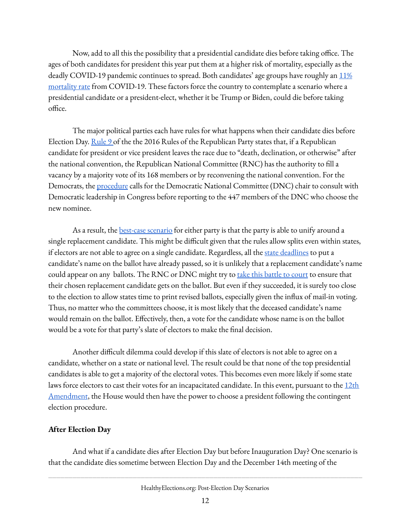Now, add to all this the possibility that a presidential candidate dies before taking office. The ages of both candidates for president this year put them at a higher risk of mortality, especially as the deadly COVID-19 pandemic continues to spread. Both candidates' age groups have roughly an  $11\%$ [mortality](https://www.cdph.ca.gov/Programs/CID/DCDC/Pages/COVID-19/COVID-19-Cases-by-Age-Group.aspx) rate from COVID-19. These factors force the country to contemplate a scenario where a presidential candidate or a president-elect, whether it be Trump or Biden, could die before taking office.

The major political parties each have rules for what happens when their candidate dies before Election Day. <u>[Rule](https://ballotpedia.org/Republican_National_Convention_rules,_2016#RULE_NO._9) 9</u> of the the 2016 Rules of the Republican Party states that, if a Republican candidate for president or vice president leaves the race due to "death, declination, or otherwise" after the national convention, the Republican National Committee (RNC) has the authority to fill a vacancy by a majority vote of its 168 members or by reconvening the national convention. For the Democrats, the [procedure](https://www.demconvention.com/wp-content/uploads/2020/08/FINAL-Permanent-Convention-Rules-of-Procedure-7.30.20.pdf) calls for the Democratic National Committee (DNC) chair to consult with Democratic leadership in Congress before reporting to the 447 members of the DNC who choose the new nominee.

As a result, the **[best-case](https://www.washingtonpost.com/politics/2020/10/02/were-final-stages-presidential-election-what-happens-if-candidate-withdraws-or-dies/) scenario** for either party is that the party is able to unify around a single replacement candidate. This might be difficult given that the rules allow splits even within states, if electors are not able to agree on a single candidate. Regardless, all the state [deadlines](https://ballotpedia.org/Ballot_access_for_presidential_candidates) to put a candidate's name on the ballot have already passed, so it is unlikely that a replacement candidate's name could appear on any ballots. The RNC or DNC might try to take this [battle](https://www.fjc.gov/content/getting-ballot) to court to ensure that their chosen replacement candidate gets on the ballot. But even if they succeeded, it is surely too close to the election to allow states time to print revised ballots, especially given the influx of mail-in voting. Thus, no matter who the committees choose, it is most likely that the deceased candidate's name would remain on the ballot. Effectively, then, a vote for the candidate whose name is on the ballot would be a vote for that party's slate of electors to make the final decision.

Another difficult dilemma could develop if this slate of electors is not able to agree on a candidate, whether on a state or national level. The result could be that none of the top presidential candidates is able to get a majority of the electoral votes. This becomes even more likely if some state laws force electors to cast their votes for an incapacitated candidate. In this event, pursuant to the [12th](https://constitutioncenter.org/interactive-constitution/amendment/amendment-xii) [Amendment](https://constitutioncenter.org/interactive-constitution/amendment/amendment-xii), the House would then have the power to choose a president following the contingent election procedure.

#### **After Election Day**

And what if a candidate dies after Election Day but before Inauguration Day? One scenario is that the candidate dies sometime between Election Day and the December 14th meeting of the